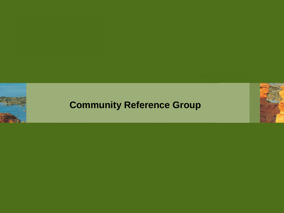

#### **Community Reference Group**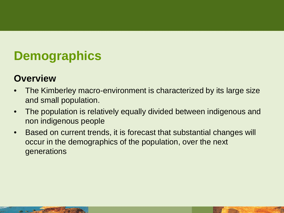# **Demographics**

#### **Overview**

- The Kimberley macro-environment is characterized by its large size and small population.
- The population is relatively equally divided between indigenous and non indigenous people
- Based on current trends, it is forecast that substantial changes will occur in the demographics of the population, over the next generations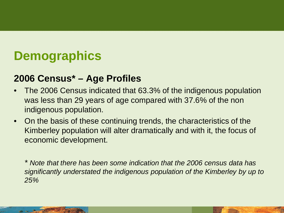# **Demographics**

#### **2006 Census\* – Age Profiles**

- The 2006 Census indicated that 63.3% of the indigenous population was less than 29 years of age compared with 37.6% of the non indigenous population.
- On the basis of these continuing trends, the characteristics of the Kimberley population will alter dramatically and with it, the focus of economic development.

*\* Note that there has been some indication that the 2006 census data has significantly understated the indigenous population of the Kimberley by up to 25%*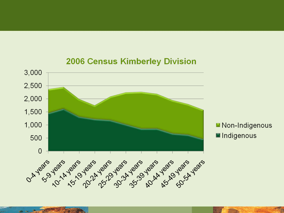

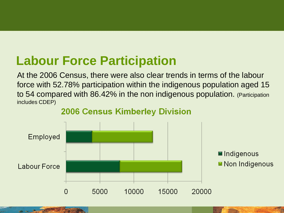### **Labour Force Participation**

At the 2006 Census, there were also clear trends in terms of the labour force with 52.78% participation within the indigenous population aged 15 to 54 compared with 86.42% in the non indigenous population. (Participation includes CDEP)



#### **2006 Census Kimberley Division**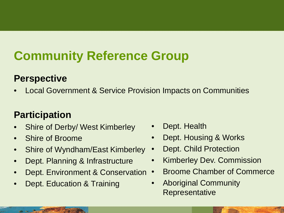# **Community Reference Group**

#### **Perspective**

• Local Government & Service Provision Impacts on Communities

#### **Participation**

- Shire of Derby/ West Kimberley
- Shire of Broome
- Shire of Wyndham/East Kimberley
- Dept. Planning & Infrastructure
- Dept. Environment & Conservation
- Dept. Education & Training
- Dept. Health
- Dept. Housing & Works
- Dept. Child Protection
- Kimberley Dev. Commission
- Broome Chamber of Commerce
- Aboriginal Community Representative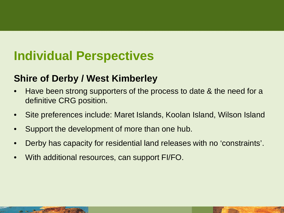# **Individual Perspectives**

#### **Shire of Derby / West Kimberley**

- Have been strong supporters of the process to date & the need for a definitive CRG position.
- Site preferences include: Maret Islands, Koolan Island, Wilson Island
- Support the development of more than one hub.
- Derby has capacity for residential land releases with no 'constraints'.
- With additional resources, can support FI/FO.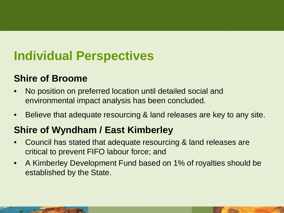# **Individual Perspectives**

#### **Shire of Broome**

- No position on preferred location until detailed social and environmental impact analysis has been concluded.
- Believe that adequate resourcing & land releases are key to any site.

### **Shire of Wyndham / East Kimberley**

- Council has stated that adequate resourcing & land releases are critical to prevent FIFO labour force; and
- A Kimberley Development Fund based on 1% of royalties should be established by the State.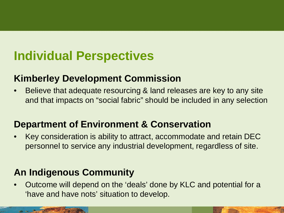# **Individual Perspectives**

#### **Kimberley Development Commission**

• Believe that adequate resourcing & land releases are key to any site and that impacts on "social fabric" should be included in any selection

#### **Department of Environment & Conservation**

• Key consideration is ability to attract, accommodate and retain DEC personnel to service any industrial development, regardless of site.

#### **An Indigenous Community**

• Outcome will depend on the 'deals' done by KLC and potential for a 'have and have nots' situation to develop.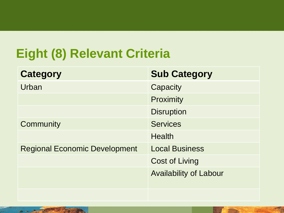# **Eight (8) Relevant Criteria**

| <b>Category</b>                      | <b>Sub Category</b>           |
|--------------------------------------|-------------------------------|
| Urban                                | Capacity                      |
|                                      | Proximity                     |
|                                      | <b>Disruption</b>             |
| Community                            | <b>Services</b>               |
|                                      | <b>Health</b>                 |
| <b>Regional Economic Development</b> | <b>Local Business</b>         |
|                                      | <b>Cost of Living</b>         |
|                                      | <b>Availability of Labour</b> |
|                                      |                               |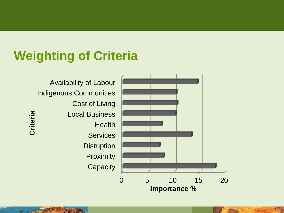## **Weighting of Criteria**

0 5 10 15 20 **Capacity Proximity Disruption Services Health** Local Business Cost of Living Indigenous Communities Availability of Labour **Importance % Criteria**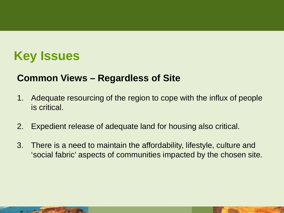### **Key Issues**

#### **Common Views – Regardless of Site**

- 1. Adequate resourcing of the region to cope with the influx of people is critical.
- 2. Expedient release of adequate land for housing also critical.
- 3. There is a need to maintain the affordability, lifestyle, culture and 'social fabric' aspects of communities impacted by the chosen site.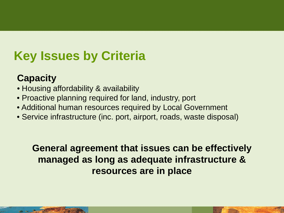# **Key Issues by Criteria**

#### **Capacity**

- Housing affordability & availability
- Proactive planning required for land, industry, port
- Additional human resources required by Local Government
- Service infrastructure (inc. port, airport, roads, waste disposal)

#### **General agreement that issues can be effectively managed as long as adequate infrastructure & resources are in place**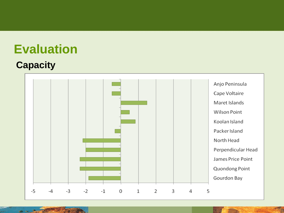#### **Capacity**

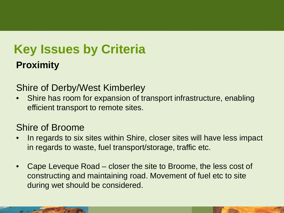# **Key Issues by Criteria Proximity**

#### Shire of Derby/West Kimberley

Shire has room for expansion of transport infrastructure, enabling efficient transport to remote sites.

#### Shire of Broome

- In regards to six sites within Shire, closer sites will have less impact in regards to waste, fuel transport/storage, traffic etc.
- Cape Leveque Road closer the site to Broome, the less cost of constructing and maintaining road. Movement of fuel etc to site during wet should be considered.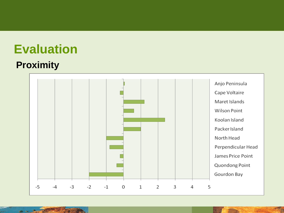#### **Proximity**

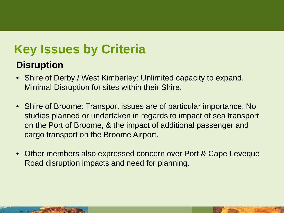# **Key Issues by Criteria**

#### **Disruption**

- Shire of Derby / West Kimberley: Unlimited capacity to expand. Minimal Disruption for sites within their Shire.
- Shire of Broome: Transport issues are of particular importance. No studies planned or undertaken in regards to impact of sea transport on the Port of Broome, & the impact of additional passenger and cargo transport on the Broome Airport.
- Other members also expressed concern over Port & Cape Leveque Road disruption impacts and need for planning.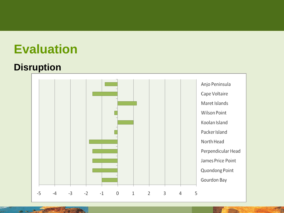#### **Disruption**

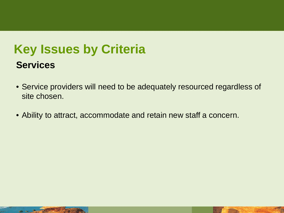# **Key Issues by Criteria Services**

- Service providers will need to be adequately resourced regardless of site chosen.
- Ability to attract, accommodate and retain new staff a concern.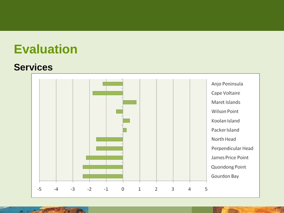#### **Services**

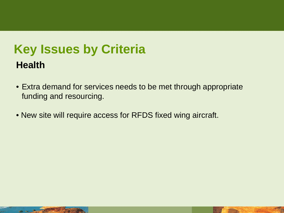# **Key Issues by Criteria Health**

- Extra demand for services needs to be met through appropriate funding and resourcing.
- New site will require access for RFDS fixed wing aircraft.



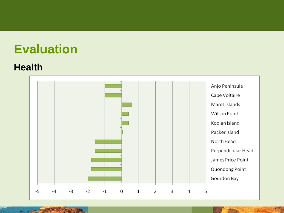#### **Health**

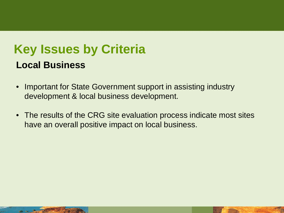### **Key Issues by Criteria Local Business**

- Important for State Government support in assisting industry development & local business development.
- The results of the CRG site evaluation process indicate most sites have an overall positive impact on local business.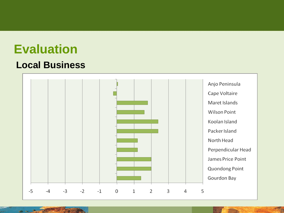#### **Local Business**

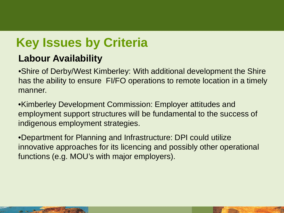# **Key Issues by Criteria**

### **Labour Availability**

•Shire of Derby/West Kimberley: With additional development the Shire has the ability to ensure FI/FO operations to remote location in a timely manner.

•Kimberley Development Commission: Employer attitudes and employment support structures will be fundamental to the success of indigenous employment strategies.

•Department for Planning and Infrastructure: DPI could utilize innovative approaches for its licencing and possibly other operational functions (e.g. MOU's with major employers).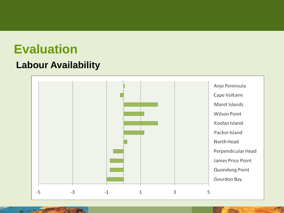#### **Labour Availability**

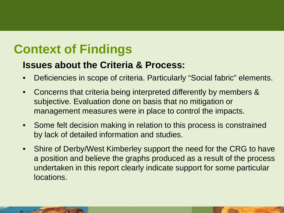## **Context of Findings**

#### **Issues about the Criteria & Process:**

- Deficiencies in scope of criteria. Particularly "Social fabric" elements.
- Concerns that criteria being interpreted differently by members & subjective. Evaluation done on basis that no mitigation or management measures were in place to control the impacts.
- Some felt decision making in relation to this process is constrained by lack of detailed information and studies.
- Shire of Derby/West Kimberley support the need for the CRG to have a position and believe the graphs produced as a result of the process undertaken in this report clearly indicate support for some particular locations.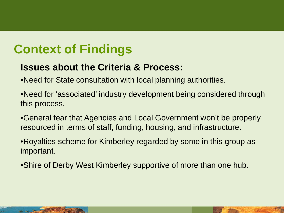### **Context of Findings**

#### **Issues about the Criteria & Process:**

- •Need for State consultation with local planning authorities.
- •Need for 'associated' industry development being considered through this process.
- •General fear that Agencies and Local Government won't be properly resourced in terms of staff, funding, housing, and infrastructure.
- •Royalties scheme for Kimberley regarded by some in this group as important.
- •Shire of Derby West Kimberley supportive of more than one hub.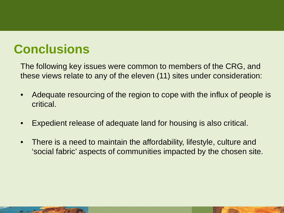### **Conclusions**

The following key issues were common to members of the CRG, and these views relate to any of the eleven (11) sites under consideration:

- Adequate resourcing of the region to cope with the influx of people is critical.
- Expedient release of adequate land for housing is also critical.
- There is a need to maintain the affordability, lifestyle, culture and 'social fabric' aspects of communities impacted by the chosen site.